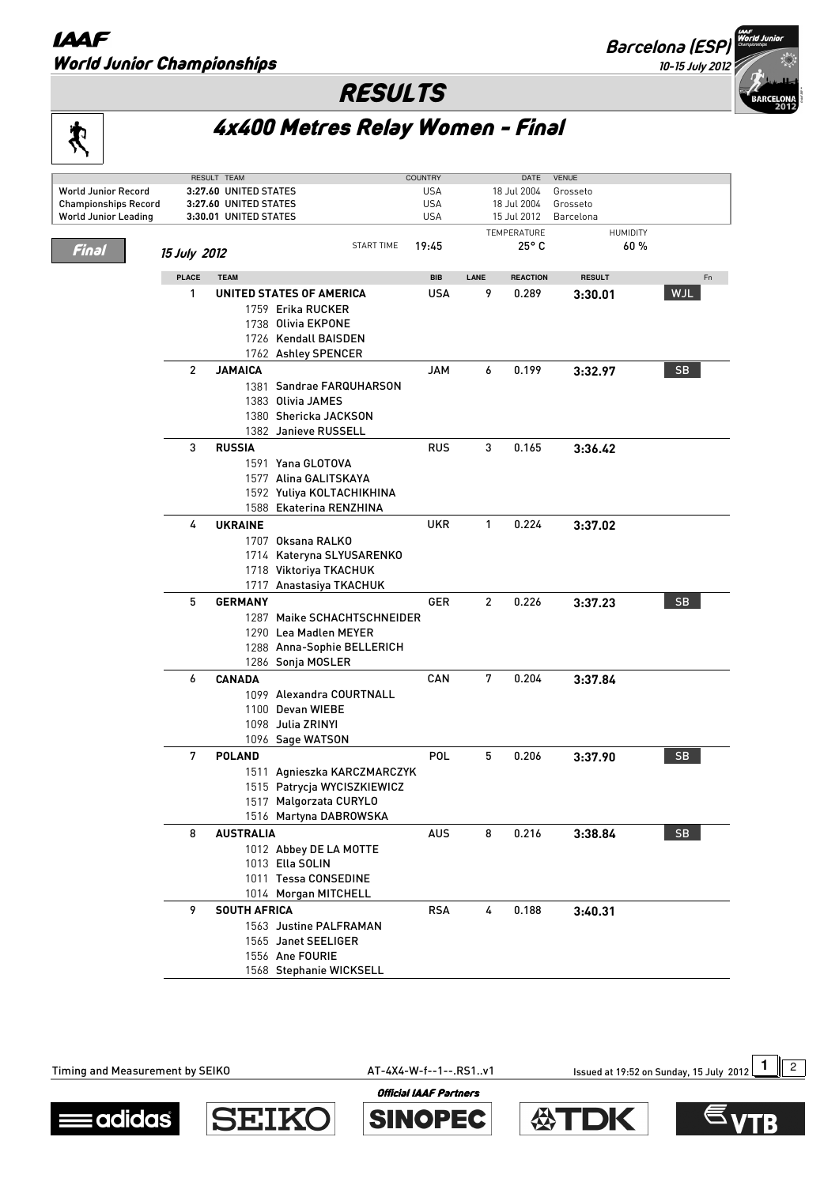## **IAAF** World Junior Championships

宊

**Barcelona (ESP)**

**10-15 July 2012**

## RESULTS

4x400 Metres Relay Women - Final

|                             |                             | RESULT TEAM           |                                         | <b>COUNTRY</b>       |                | DATE                   | <b>VENUE</b>  |            |
|-----------------------------|-----------------------------|-----------------------|-----------------------------------------|----------------------|----------------|------------------------|---------------|------------|
| <b>World Junior Record</b>  |                             | 3:27.60 UNITED STATES | <b>USA</b>                              | 18 Jul 2004          |                | Grosseto               |               |            |
| <b>Championships Record</b> |                             | 3:27.60 UNITED STATES | <b>USA</b>                              |                      | 18 Jul 2004    | Grosseto               |               |            |
| <b>World Junior Leading</b> |                             | 3:30.01 UNITED STATES |                                         | USA                  |                | 15 Jul 2012            | Barcelona     |            |
| Final                       | 15 July 2012                | 19:45                 |                                         | TEMPERATURE<br>25° C |                | <b>HUMIDITY</b><br>60% |               |            |
|                             | <b>PLACE</b><br><b>TEAM</b> |                       |                                         | <b>BIB</b>           | LANE           | <b>REACTION</b>        | <b>RESULT</b> | Fn         |
|                             | 1                           |                       | UNITED STATES OF AMERICA                | USA                  | 9              | 0.289                  |               | <b>WJL</b> |
|                             |                             |                       |                                         |                      |                |                        | 3:30.01       |            |
|                             |                             |                       | 1759 Erika RUCKER<br>1738 Olivia EKPONE |                      |                |                        |               |            |
|                             |                             |                       | 1726 Kendall BAISDEN                    |                      |                |                        |               |            |
|                             |                             |                       | 1762 Ashley SPENCER                     |                      |                |                        |               |            |
|                             |                             |                       |                                         |                      |                |                        |               |            |
|                             | 2                           | JAMAICA               |                                         | JAM                  | 6              | 0.199                  | 3:32.97       | SB.        |
|                             |                             |                       | 1381 Sandrae FARQUHARSON                |                      |                |                        |               |            |
|                             |                             |                       | 1383 Olivia JAMES                       |                      |                |                        |               |            |
|                             |                             |                       | 1380 Shericka JACKSON                   |                      |                |                        |               |            |
|                             |                             |                       | 1382 Janieve RUSSELL                    |                      |                |                        |               |            |
|                             | 3                           | <b>RUSSIA</b>         |                                         | <b>RUS</b>           | 3              | 0.165                  | 3:36.42       |            |
|                             |                             |                       | 1591 Yana GLOTOVA                       |                      |                |                        |               |            |
|                             |                             |                       | 1577 Alina GALITSKAYA                   |                      |                |                        |               |            |
|                             |                             |                       | 1592 Yuliya KOLTACHIKHINA               |                      |                |                        |               |            |
|                             |                             |                       | 1588 Ekaterina RENZHINA                 |                      |                |                        |               |            |
|                             | 4                           | <b>UKRAINE</b>        |                                         | UKR                  | 1              | 0.224                  | 3:37.02       |            |
|                             |                             |                       | 1707 Oksana RALKO                       |                      |                |                        |               |            |
|                             |                             |                       | 1714 Kateryna SLYUSARENKO               |                      |                |                        |               |            |
|                             |                             |                       | 1718 Viktoriya TKACHUK                  |                      |                |                        |               |            |
|                             |                             |                       | 1717 Anastasiya TKACHUK                 |                      |                |                        |               |            |
|                             | 5                           | <b>GERMANY</b>        |                                         | GER                  | $\overline{2}$ | 0.226                  | 3:37.23       | <b>SB</b>  |
|                             |                             |                       | 1287 Maike SCHACHTSCHNEIDER             |                      |                |                        |               |            |
|                             |                             |                       | 1290 Lea Madlen MEYER                   |                      |                |                        |               |            |
|                             |                             |                       | 1288 Anna-Sophie BELLERICH              |                      |                |                        |               |            |
|                             |                             |                       | 1286 Sonja MOSLER                       |                      |                |                        |               |            |
|                             | 6                           | <b>CANADA</b>         |                                         | CAN                  | 7              | 0.204                  | 3:37.84       |            |
|                             |                             |                       | 1099 Alexandra COURTNALL                |                      |                |                        |               |            |
|                             |                             |                       | 1100 Devan WIEBE                        |                      |                |                        |               |            |
|                             |                             |                       | 1098 Julia ZRINYI                       |                      |                |                        |               |            |
|                             |                             |                       | 1096 Sage WATSON                        |                      |                |                        |               |            |
|                             | 7                           | <b>POLAND</b>         |                                         | POL                  | 5              | 0.206                  | 3:37.90       | -SB        |
|                             |                             |                       | 1511 Agnieszka KARCZMARCZYK             |                      |                |                        |               |            |
|                             |                             |                       | 1515 Patrycja WYCISZKIEWICZ             |                      |                |                        |               |            |
|                             |                             |                       | 1517 Malgorzata CURYLO                  |                      |                |                        |               |            |
|                             |                             |                       | 1516 Martyna DABROWSKA                  |                      |                |                        |               |            |
|                             | 8                           | <b>AUSTRALIA</b>      |                                         | <b>AUS</b>           | 8              | 0.216                  | 3:38.84       | SB         |
|                             |                             |                       | 1012 Abbey DE LA MOTTE                  |                      |                |                        |               |            |
|                             |                             |                       | 1013 Ella SOLIN                         |                      |                |                        |               |            |
|                             |                             |                       | 1011 Tessa CONSEDINE                    |                      |                |                        |               |            |
|                             |                             |                       | 1014 Morgan MITCHELL                    |                      |                |                        |               |            |
|                             | 9                           | <b>SOUTH AFRICA</b>   |                                         | <b>RSA</b>           | 4              | 0.188                  | 3:40.31       |            |

Timing and Measurement by SEIKO **AT-4X4-W-f--1--.RS1..v1** Issued at 19:52 on Sunday, 15 July 2012 12



**SEIK SINOPEC** 

 Justine PALFRAMAN Janet SEELIGER Ane FOURIE Stephanie WICKSELL